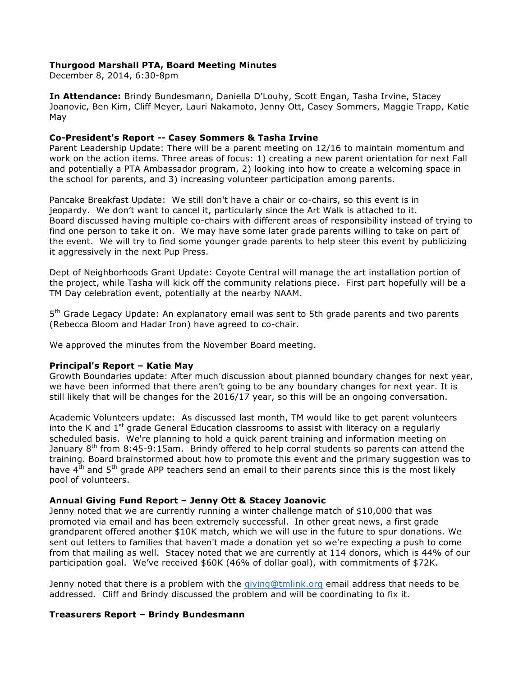## **Thurgood Marshall PTA, Board Meeting Minutes**

December 8, 2014, 6:30-8pm

**In Attendance:** Brindy Bundesmann, Daniella D'Louhy, Scott Engan, Tasha Irvine, Stacey Joanovic, Ben Kim, Cliff Meyer, Lauri Nakamoto, Jenny Ott, Casey Sommers, Maggie Trapp, Katie May

## **Co-President's Report -- Casey Sommers & Tasha Irvine**

Parent Leadership Update: There will be a parent meeting on 12/16 to maintain momentum and work on the action items. Three areas of focus: 1) creating a new parent orientation for next Fall and potentially a PTA Ambassador program, 2) looking into how to create a welcoming space in the school for parents, and 3) increasing volunteer participation among parents.

Pancake Breakfast Update: We still don't have a chair or co-chairs, so this event is in jeopardy. We don't want to cancel it, particularly since the Art Walk is attached to it. Board discussed having multiple co-chairs with different areas of responsibility instead of trying to find one person to take it on. We may have some later grade parents willing to take on part of the event. We will try to find some younger grade parents to help steer this event by publicizing it aggressively in the next Pup Press.

Dept of Neighborhoods Grant Update: Coyote Central will manage the art installation portion of the project, while Tasha will kick off the community relations piece. First part hopefully will be a TM Day celebration event, potentially at the nearby NAAM.

5<sup>th</sup> Grade Legacy Update: An explanatory email was sent to 5th grade parents and two parents (Rebecca Bloom and Hadar Iron) have agreed to co-chair.

We approved the minutes from the November Board meeting.

### **Principal's Report – Katie May**

Growth Boundaries update: After much discussion about planned boundary changes for next year, we have been informed that there aren't going to be any boundary changes for next year. It is still likely that will be changes for the 2016/17 year, so this will be an ongoing conversation.

Academic Volunteers update: As discussed last month, TM would like to get parent volunteers into the K and  $1<sup>st</sup>$  grade General Education classrooms to assist with literacy on a regularly scheduled basis. We're planning to hold a quick parent training and information meeting on January  $8<sup>th</sup>$  from 8:45-9:15am. Brindy offered to help corral students so parents can attend the training. Board brainstormed about how to promote this event and the primary suggestion was to have  $4<sup>th</sup>$  and  $5<sup>th</sup>$  grade APP teachers send an email to their parents since this is the most likely pool of volunteers.

### **Annual Giving Fund Report – Jenny Ott & Stacey Joanovic**

Jenny noted that we are currently running a winter challenge match of \$10,000 that was promoted via email and has been extremely successful. In other great news, a first grade grandparent offered another \$10K match, which we will use in the future to spur donations. We sent out letters to families that haven't made a donation yet so we're expecting a push to come from that mailing as well. Stacey noted that we are currently at 114 donors, which is 44% of our participation goal. We've received \$60K (46% of dollar goal), with commitments of \$72K.

Jenny noted that there is a problem with the giving@tmlink.org email address that needs to be addressed. Cliff and Brindy discussed the problem and will be coordinating to fix it.

### **Treasurers Report – Brindy Bundesmann**